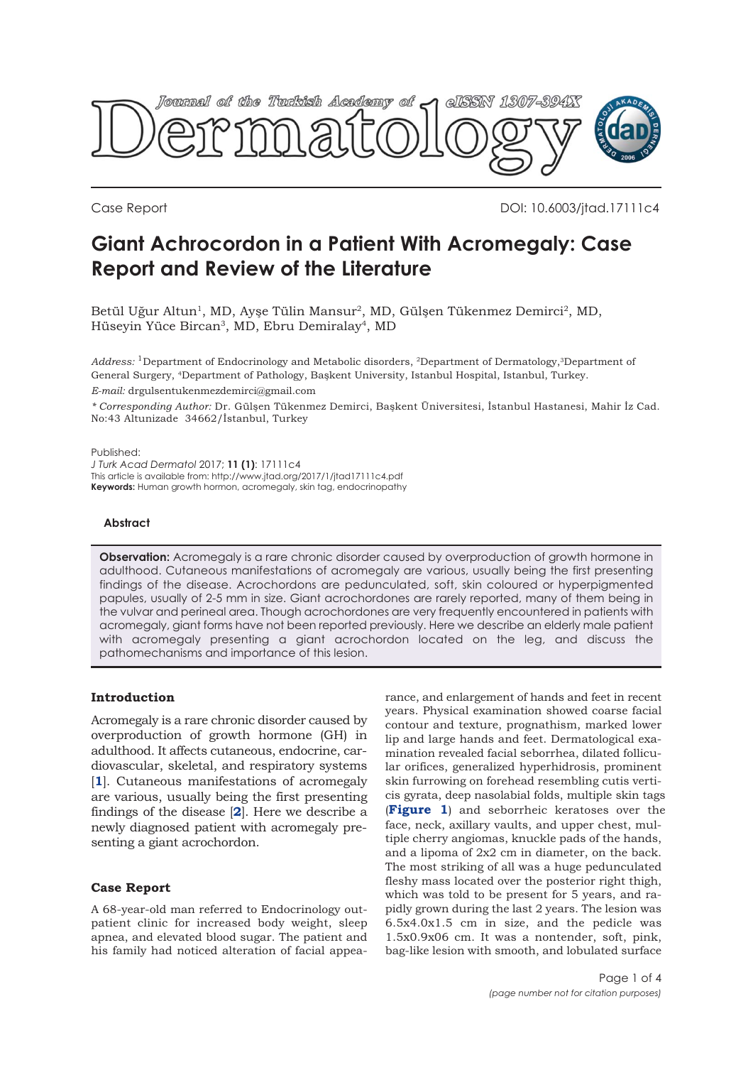

Case Report **Case Report** 2012 10:4003/jtad.17111c4

# **Giant Achrocordon in a Patient With Acromegaly: Case Report and Review of the Literature**

Betül Uğur Altun<sup>1</sup>, MD, Ayşe Tülin Mansur<sup>2</sup>, MD, Gülşen Tükenmez Demirci<sup>2</sup>, MD, Hüseyin Yüce Bircan3, MD, Ebru Demiralay4, MD

*Address:* 1Department of Endocrinology and Metabolic disorders, 2Department of Dermatology,3Department of General Surgery, 4Department of Pathology, Başkent University, Istanbul Hospital, Istanbul, Turkey.

*E-mail:* drgulsentukenmezdemirci@gmail.com

*\* Corresponding Author:* Dr. Gülşen Tükenmez Demirci, Başkent Üniversitesi, İstanbul Hastanesi, Mahir İz Cad. No:43 Altunizade 34662/İstanbul, Turkey

Published:

*J Turk Acad Dermatol* 2017; **11 (1)**: 17111c4 This article is available from: http://www.jtad.org/2017/1/jtad17111c4.pdf **Keywords:** Human growth hormon, acromegaly, skin tag, endocrinopathy

## **Abstract**

**Observation:** Acromegaly is a rare chronic disorder caused by overproduction of growth hormone in adulthood. Cutaneous manifestations of acromegaly are various, usually being the first presenting findings of the disease. Acrochordons are pedunculated, soft, skin coloured or hyperpigmented papules, usually of 2-5 mm in size. Giant acrochordones are rarely reported, many of them being in the vulvar and perineal area. Though acrochordones are very frequently encountered in patients with acromegaly, giant forms have not been reported previously. Here we describe an elderly male patient with acromegaly presenting a giant acrochordon located on the leg, and discuss the pathomechanisms and importance of this lesion.

# **Introduction**

Acromegaly is a rare chronic disorder caused by overproduction of growth hormone (GH) in adulthood. It affects cutaneous, endocrine, cardiovascular, skeletal, and respiratory systems [**[1](#page-3-0)**]. Cutaneous manifestations of acromegaly are various, usually being the first presenting findings of the disease [**[2](#page-3-0)**]. Here we describe a newly diagnosed patient with acromegaly presenting a giant acrochordon.

# **Case Report**

A 68-year-old man referred to Endocrinology outpatient clinic for increased body weight, sleep apnea, and elevated blood sugar. The patient and his family had noticed alteration of facial appearance, and enlargement of hands and feet in recent years. Physical examination showed coarse facial contour and texture, prognathism, marked lower lip and large hands and feet. Dermatological examination revealed facial seborrhea, dilated follicular orifices, generalized hyperhidrosis, prominent skin furrowing on forehead resembling cutis verticis gyrata, deep nasolabial folds, multiple skin tags (**[Figure 1](#page-1-0)**) and seborrheic keratoses over the face, neck, axillary vaults, and upper chest, multiple cherry angiomas, knuckle pads of the hands, and a lipoma of 2x2 cm in diameter, on the back. The most striking of all was a huge pedunculated fleshy mass located over the posterior right thigh, which was told to be present for 5 years, and rapidly grown during the last 2 years. The lesion was 6.5x4.0x1.5 cm in size, and the pedicle was 1.5x0.9x06 cm. It was a nontender, soft, pink, bag-like lesion with smooth, and lobulated surface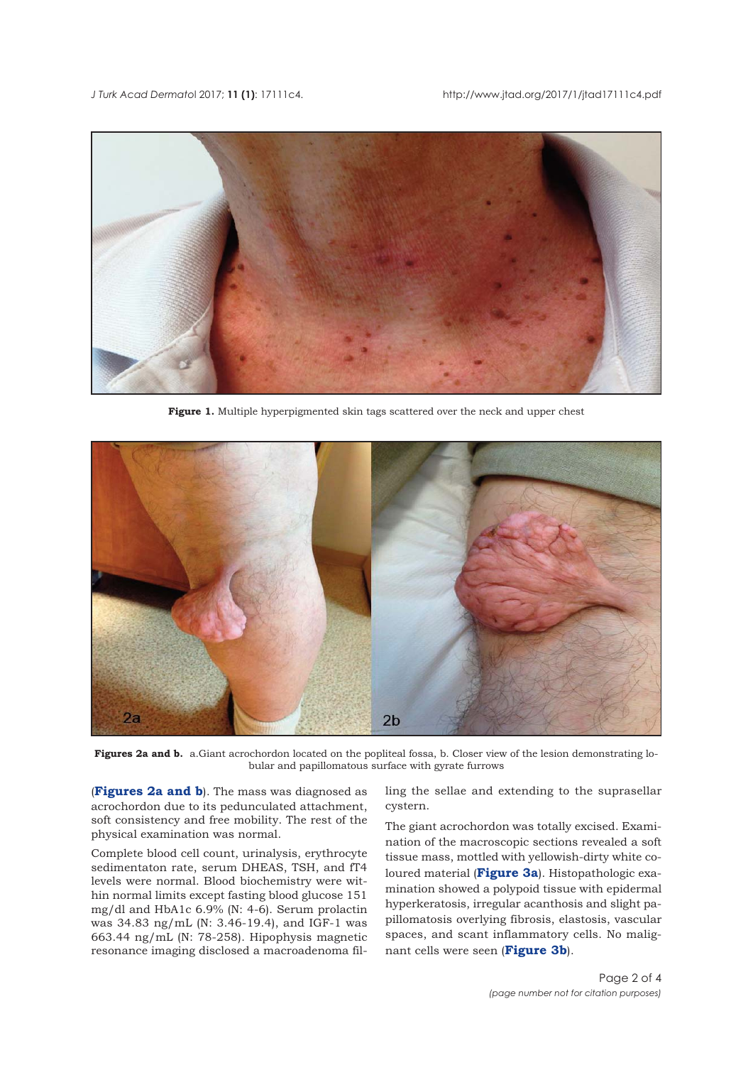<span id="page-1-0"></span>

**Figure 1.** Multiple hyperpigmented skin tags scattered over the neck and upper chest



**Figures 2a and b.** a.Giant acrochordon located on the popliteal fossa, b. Closer view of the lesion demonstrating lobular and papillomatous surface with gyrate furrows

(**Figures 2a and b**). The mass was diagnosed as acrochordon due to its pedunculated attachment, soft consistency and free mobility. The rest of the physical examination was normal.

Complete blood cell count, urinalysis, erythrocyte sedimentaton rate, serum DHEAS, TSH, and fT4 levels were normal. Blood biochemistry were within normal limits except fasting blood glucose 151 mg/dl and HbA1c 6.9% (N: 4-6). Serum prolactin was 34.83 ng/mL (N: 3.46-19.4), and IGF-1 was 663.44 ng/mL (N: 78-258). Hipophysis magnetic resonance imaging disclosed a macroadenoma filling the sellae and extending to the suprasellar cystern.

The giant acrochordon was totally excised. Examination of the macroscopic sections revealed a soft tissue mass, mottled with yellowish-dirty white coloured material (**[Figure 3a](#page-2-0)**). Histopathologic examination showed a polypoid tissue with epidermal hyperkeratosis, irregular acanthosis and slight papillomatosis overlying fibrosis, elastosis, vascular spaces, and scant inflammatory cells. No malignant cells were seen (**[Figure 3b](#page-2-0)**).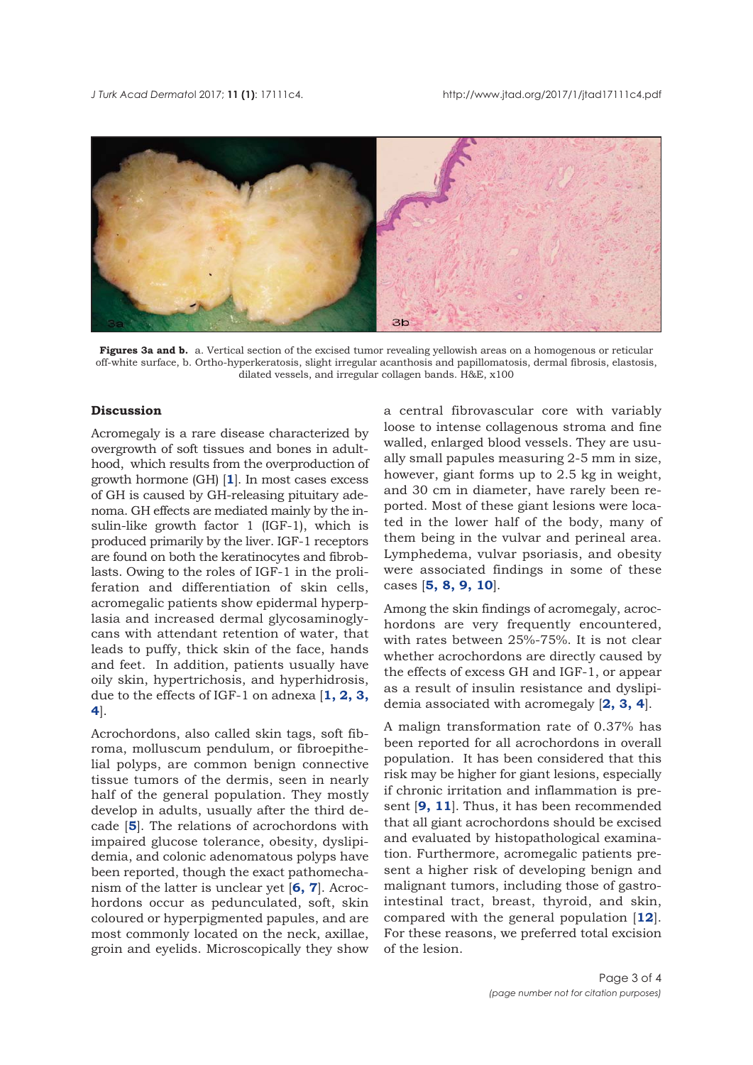<span id="page-2-0"></span>

**Figures 3a and b.** a. Vertical section of the excised tumor revealing yellowish areas on a homogenous or reticular off-white surface, b. Ortho-hyperkeratosis, slight irregular acanthosis and papillomatosis, dermal fibrosis, elastosis, dilated vessels, and irregular collagen bands. H&E, x100

# **Discussion**

Acromegaly is a rare disease characterized by overgrowth of soft tissues and bones in adulthood, which results from the overproduction of growth hormone (GH) [**[1](#page-3-0)**]. In most cases excess of GH is caused by GH-releasing pituitary adenoma. GH effects are mediated mainly by the insulin-like growth factor 1 (IGF-1), which is produced primarily by the liver. IGF-1 receptors are found on both the keratinocytes and fibroblasts. Owing to the roles of IGF-1 in the proliferation and differentiation of skin cells, acromegalic patients show epidermal hyperplasia and increased dermal glycosaminoglycans with attendant retention of water, that leads to puffy, thick skin of the face, hands and feet. In addition, patients usually have oily skin, hypertrichosis, and hyperhidrosis, due to the effects of IGF-1 on adnexa [**[1](#page-3-0), [2](#page-3-0), [3](#page-3-0), [4](#page-3-0)**].

Acrochordons, also called skin tags, soft fibroma, molluscum pendulum, or fibroepithelial polyps, are common benign connective tissue tumors of the dermis, seen in nearly half of the general population. They mostly develop in adults, usually after the third decade [**[5](#page-3-0)**]. The relations of acrochordons with impaired glucose tolerance, obesity, dyslipidemia, and colonic adenomatous polyps have been reported, though the exact pathomechanism of the latter is unclear yet [**[6,](#page-3-0) [7](#page-3-0)**]. Acrochordons occur as pedunculated, soft, skin coloured or hyperpigmented papules, and are most commonly located on the neck, axillae, groin and eyelids. Microscopically they show a central fibrovascular core with variably loose to intense collagenous stroma and fine walled, enlarged blood vessels. They are usually small papules measuring 2-5 mm in size, however, giant forms up to 2.5 kg in weight, and 30 cm in diameter, have rarely been reported. Most of these giant lesions were located in the lower half of the body, many of them being in the vulvar and perineal area. Lymphedema, vulvar psoriasis, and obesity were associated findings in some of these cases [**[5](#page-3-0), [8](#page-3-0), [9,](#page-3-0) [10](#page-3-0)**].

Among the skin findings of acromegaly, acrochordons are very frequently encountered, with rates between 25%-75%. It is not clear whether acrochordons are directly caused by the effects of excess GH and IGF-1, or appear as a result of insulin resistance and dyslipidemia associated with acromegaly [**[2](#page-3-0), [3](#page-3-0), [4](#page-3-0)**].

A malign transformation rate of 0.37% has been reported for all acrochordons in overall population. It has been considered that this risk may be higher for giant lesions, especially if chronic irritation and inflammation is present [**[9](#page-3-0), [11](#page-3-0)**]. Thus, it has been recommended that all giant acrochordons should be excised and evaluated by histopathological examination. Furthermore, acromegalic patients present a higher risk of developing benign and malignant tumors, including those of gastrointestinal tract, breast, thyroid, and skin, compared with the general population [**[12](#page-3-0)**]. For these reasons, we preferred total excision of the lesion.